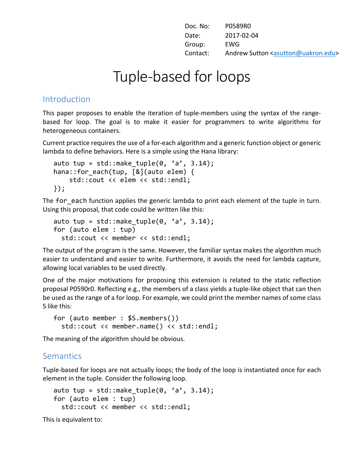| Doc. No: | P0589R0                                                 |
|----------|---------------------------------------------------------|
| Date:    | 2017-02-04                                              |
| Group:   | EWG                                                     |
| Contact: | Andrew Sutton <asutton@uakron.edu></asutton@uakron.edu> |

# Tuple-based for loops

#### Introduction

This paper proposes to enable the iteration of tuple-members using the syntax of the rangebased for loop. The goal is to make it easier for programmers to write algorithms for heterogeneous containers.

Current practice requires the use of a for-each algorithm and a generic function object or generic lambda to define behaviors. Here is a simple using the Hana library:

```
auto tup = std::make\_tuple(0, 'a', 3.14);hana::for each(tup, [&](auto elem) {
     std::cout << elem << std::endl;
});
```
The for each function applies the generic lambda to print each element of the tuple in turn. Using this proposal, that code could be written like this:

```
auto tup = std::make tuple(\theta, a', 3.14);
for (auto elem : tup)
   std::cout << member << std::endl;
```
The output of the program is the same. However, the familiar syntax makes the algorithm much easier to understand and easier to write. Furthermore, it avoids the need for lambda capture, allowing local variables to be used directly.

One of the major motivations for proposing this extension is related to the static reflection proposal P0590r0. Reflecting e.g., the members of a class yields a tuple-like object that can then be used as the range of a for loop. For example, we could print the member names of some class S like this:

```
for (auto member : $S.members())
   std::cout << member.name() << std::endl;
```
The meaning of the algorithm should be obvious.

## **Semantics**

Tuple-based for loops are not actually loops; the body of the loop is instantiated once for each element in the tuple. Consider the following loop.

```
auto tup = std::make tuple(\theta, a', 3.14);
for (auto elem : tup)
   std::cout << member << std::endl;
```
This is equivalent to: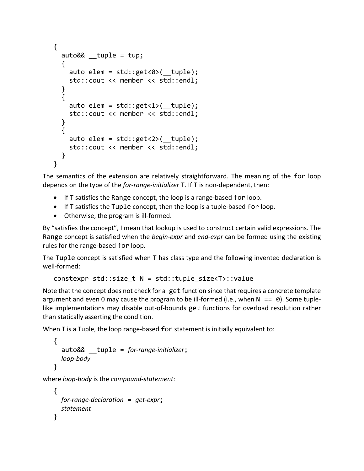```
{
 auto&& tuple = tup;
   {
    auto elem = std::get<0> ( tuple);
     std::cout << member << std::endl;
   }
  {
    auto elem = std::get<1>( tuple);
     std::cout << member << std::endl;
   }
  {
    auto elem = std::get<2>( tuple);
     std::cout << member << std::endl;
   } 
}
```
The semantics of the extension are relatively straightforward. The meaning of the for loop depends on the type of the *for-range-initializer* T. If T is non-dependent, then:

- $\bullet$  If T satisfies the Range concept, the loop is a range-based for loop.
- $\bullet$  If T satisfies the Tuple concept, then the loop is a tuple-based for loop.
- Otherwise, the program is ill-formed.

By "satisfies the concept", I mean that lookup is used to construct certain valid expressions. The Range concept is satisfied when the *begin-expr* and *end-expr* can be formed using the existing rules for the range-based for loop.

The Tuple concept is satisfied when T has class type and the following invented declaration is well-formed:

constexpr std::size\_t N = std::tuple\_size<T>::value

Note that the concept does not check for a get function since that requires a concrete template argument and even 0 may cause the program to be ill-formed (i.e., when  $N = = 0$ ). Some tuplelike implementations may disable out-of-bounds get functions for overload resolution rather than statically asserting the condition.

When  $T$  is a Tuple, the loop range-based for statement is initially equivalent to:

```
{
   auto&& __tuple = for-range-initializer;
   loop-body
}
```
where *loop-body* is the *compound-statement*:

```
{
   for-range-declaration = get-expr;
   statement
}
```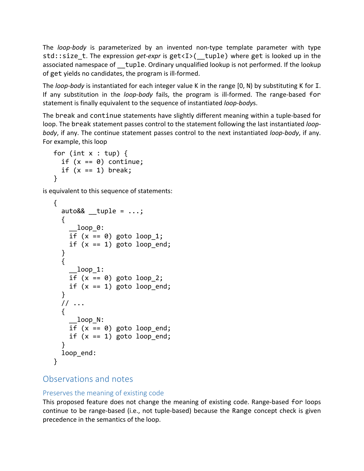The *loop-body* is parameterized by an invented non-type template parameter with type std::size t. The expression *get-expr* is  $get < I >$ ( tuple) where get is looked up in the associated namespace of tuple. Ordinary unqualified lookup is not performed. If the lookup of get yields no candidates, the program is ill-formed.

The *loop-body* is instantiated for each integer value K in the range [0, N) by substituting K for I. If any substitution in the *loop-body* fails, the program is ill-formed. The range-based for statement is finally equivalent to the sequence of instantiated *loop-bodys*.

The break and continue statements have slightly different meaning within a tuple-based for loop. The break statement passes control to the statement following the last instantiated *loopbody*, if any. The continue statement passes control to the next instantiated *loop-body*, if any. For example, this loop

```
for (int x : tup) {
  if (x == 0) continue;
  if (x == 1) break;
}
```
is equivalent to this sequence of statements:

```
{
  auto& 8 tuple = \ldots; {
      __loop_0:
    if (x == 0) goto loop 1;
    if (x == 1) goto loop end;
   }
   {
     \_loop\_1:
    if (x == 0) goto loop 2;
    if (x == 1) goto loop end;
   }
   // ...
   {
      __loop_N:
    if (x == 0) goto loop end;
    if (x == 1) goto loop end;
   }
  loop end:
}
```
## Observations and notes

## Preserves the meaning of existing code

This proposed feature does not change the meaning of existing code. Range-based for loops continue to be range-based (i.e., not tuple-based) because the Range concept check is given precedence in the semantics of the loop.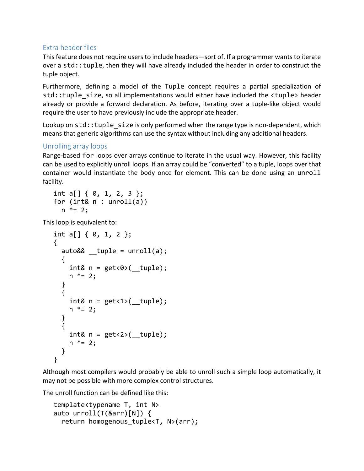#### Extra header files

This feature does not require users to include headers—sort of. If a programmer wants to iterate over a std:: tuple, then they will have already included the header in order to construct the tuple object.

Furthermore, defining a model of the Tuple concept requires a partial specialization of std::tuple size, so all implementations would either have included the  $\tt  header$ already or provide a forward declaration. As before, iterating over a tuple-like object would require the user to have previously include the appropriate header.

Lookup on  $std:$ : tuple  $size$  is only performed when the range type is non-dependent, which means that generic algorithms can use the syntax without including any additional headers.

#### Unrolling array loops

Range-based for loops over arrays continue to iterate in the usual way. However, this facility can be used to explicitly unroll loops. If an array could be "converted" to a tuple, loops over that container would instantiate the body once for element. This can be done using an unroll facility.

int a[] { 0, 1, 2, 3 }; for (int&  $n : unroll(a)$ )  $n * = 2;$ 

This loop is equivalent to:

```
int a[] \{ 0, 1, 2 \};
{
  auto& 2 tuple = unroll(a);
\{int& n = get <0 ( tuple);
    n * = 2; }
   {
    int& n = get <1>( tuple);
    n * = 2; }
   {
    int& n = get < 2>( tuple);
    n * = 2; }
}
```
Although most compilers would probably be able to unroll such a simple loop automatically, it may not be possible with more complex control structures.

The unroll function can be defined like this:

```
template<typename T, int N>
auto unroll(T(&arr)[N]) {
 return homogenous tuple<T, N>(arr);
```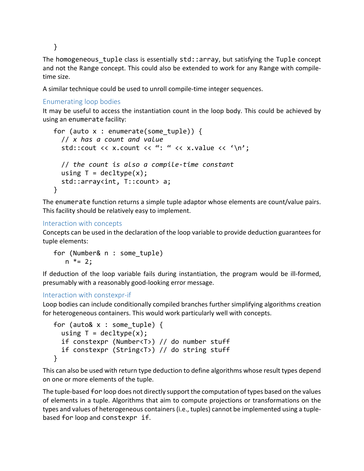}

The homogeneous tuple class is essentially  $std::array$ , but satisfying the Tuple concept and not the Range concept. This could also be extended to work for any Range with compiletime size.

A similar technique could be used to unroll compile-time integer sequences.

#### Enumerating loop bodies

It may be useful to access the instantiation count in the loop body. This could be achieved by using an enumerate facility:

```
for (auto x : enumerate(some tuple)) {
   // x has a count and value
  std::cout << x.count << ": " << x.value << '\n';
  // the count is also a compile-time constant
 using T = \text{decltype}(x);
  std::array<int, T::count> a;
}
```
The enumerate function returns a simple tuple adaptor whose elements are count/value pairs. This facility should be relatively easy to implement.

#### Interaction with concepts

Concepts can be used in the declaration of the loop variable to provide deduction guarantees for tuple elements:

for (Number& n : some\_tuple)  $n * = 2;$ 

If deduction of the loop variable fails during instantiation, the program would be ill-formed, presumably with a reasonably good-looking error message.

#### Interaction with constexpr-if

Loop bodies can include conditionally compiled branches further simplifying algorithms creation for heterogeneous containers. This would work particularly well with concepts.

```
for (auto& x : some_tuple) {
  using T = decltype(x);
   if constexpr (Number<T>) // do number stuff
   if constexpr (String<T>) // do string stuff
}
```
This can also be used with return type deduction to define algorithms whose result types depend on one or more elements of the tuple.

The tuple-based for loop does not directly support the computation of types based on the values of elements in a tuple. Algorithms that aim to compute projections or transformations on the types and values of heterogeneous containers (i.e., tuples) cannot be implemented using a tuplebased for loop and constexpr if.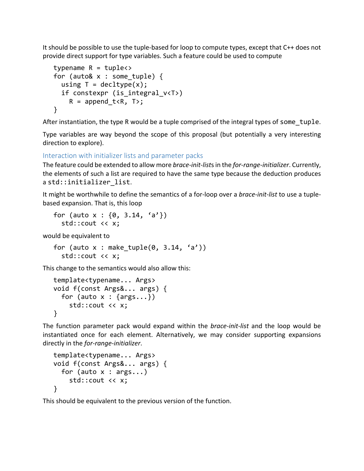It should be possible to use the tuple-based for loop to compute types, except that  $C_{++}$  does not provide direct support for type variables. Such a feature could be used to compute

```
typename R = tuple \rightarrowfor (auto& x : some_tuple) {
  using T = decltype(x);
   if constexpr (is_integral_v<T>)
    R = append t < R, T>;
}
```
After instantiation, the type R would be a tuple comprised of the integral types of some  $\tau$  tuple.

Type variables are way beyond the scope of this proposal (but potentially a very interesting direction to explore).

Interaction with initializer lists and parameter packs

The feature could be extended to allow more *brace-init-lists* in the *for-range-initializer*. Currently, the elements of such a list are required to have the same type because the deduction produces astd::initializer list.

It might be worthwhile to define the semantics of a for-loop over a *brace-init-list* to use a tuplebased expansion. That is, this loop

```
for (auto x : \{0, 3.14, 'a'\}\ std::cout << x;
```
would be equivalent to

```
for (auto x : make tuple(0, 3.14, 'a'))
   std::cout << x;
```
This change to the semantics would also allow this:

```
template<typename... Args>
void f(const Args&... args) {
  for (auto x : \{args... \}) std::cout << x;
}
```
The function parameter pack would expand within the *brace-init-list* and the loop would be instantiated once for each element. Alternatively, we may consider supporting expansions directly in the *for-range-initializer*.

```
template<typename... Args>
void f(const Args&... args) {
  for (auto x : args...)
     std::cout << x;
}
```
This should be equivalent to the previous version of the function.